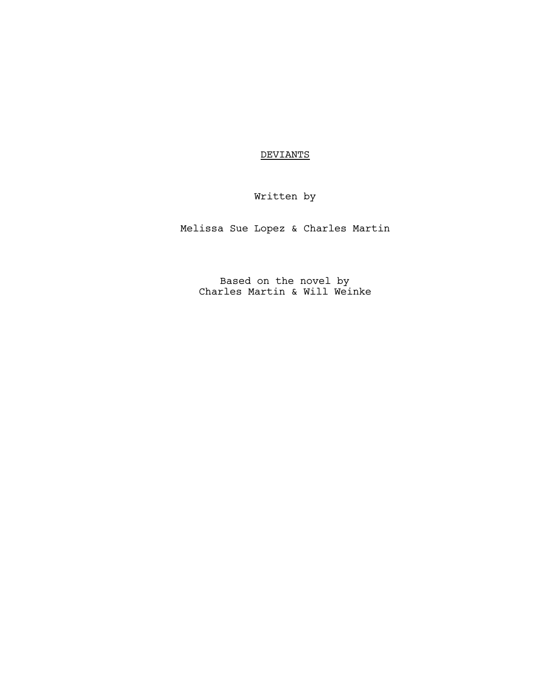## **DEVIANTS**

# Written by

Melissa Sue Lopez & Charles Martin

Based on the novel by Charles Martin & Will Weinke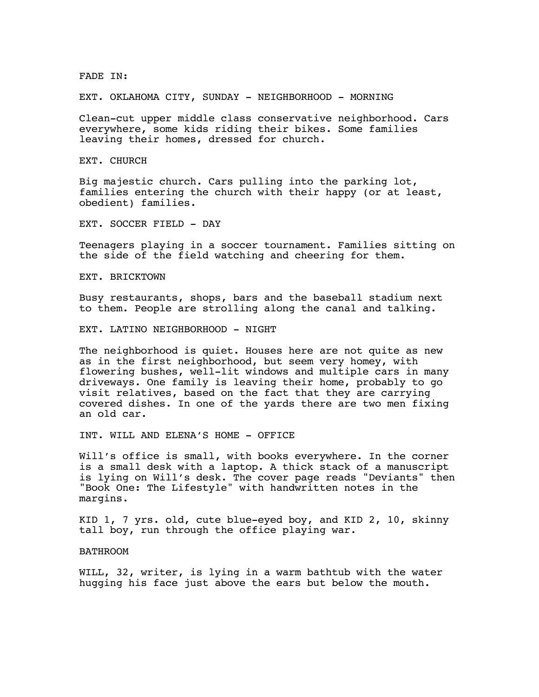FADE IN:

EXT. OKLAHOMA CITY, SUNDAY - NEIGHBORHOOD - MORNING

Clean-cut upper middle class conservative neighborhood. Cars everywhere, some kids riding their bikes. Some families leaving their homes, dressed for church.

EXT. CHURCH

Big majestic church. Cars pulling into the parking lot, families entering the church with their happy (or at least, obedient) families.

EXT. SOCCER FIELD - DAY

Teenagers playing in a soccer tournament. Families sitting on the side of the field watching and cheering for them.

EXT. BRICKTOWN

Busy restaurants, shops, bars and the baseball stadium next to them. People are strolling along the canal and talking.

EXT. LATINO NEIGHBORHOOD - NIGHT

The neighborhood is quiet. Houses here are not quite as new as in the first neighborhood, but seem very homey, with flowering bushes, well-lit windows and multiple cars in many driveways. One family is leaving their home, probably to go visit relatives, based on the fact that they are carrying covered dishes. In one of the yards there are two men fixing an old car.

INT. WILL AND ELENA'S HOME - OFFICE

Will's office is small, with books everywhere. In the corner is a small desk with a laptop. A thick stack of a manuscript is lying on Will's desk. The cover page reads "Deviants" then "Book One: The Lifestyle" with handwritten notes in the margins.

KID 1, 7 yrs. old, cute blue-eyed boy, and KID 2, 10, skinny tall boy, run through the office playing war.

## BATHROOM

WILL, 32, writer, is lying in a warm bathtub with the water hugging his face just above the ears but below the mouth.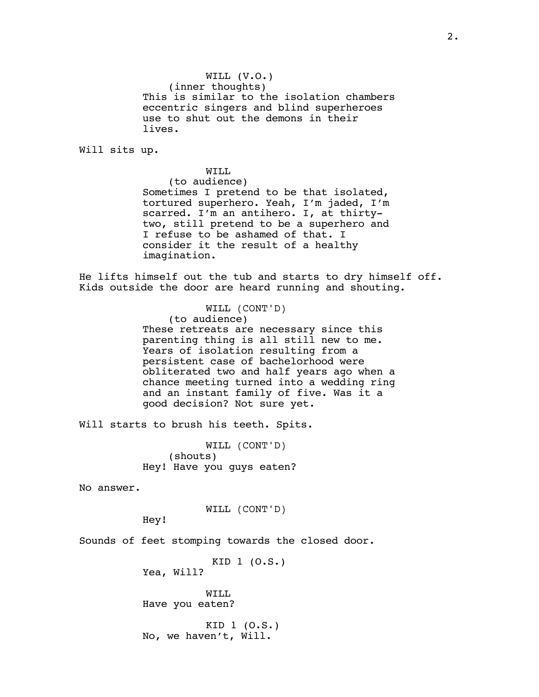WILL (V.O.) (inner thoughts) This is similar to the isolation chambers eccentric singers and blind superheroes use to shut out the demons in their lives.

Will sits up.

WILL (to audience) Sometimes I pretend to be that isolated, tortured superhero. Yeah, I'm jaded, I'm scarred. I'm an antihero. I, at thirtytwo, still pretend to be a superhero and I refuse to be ashamed of that. I consider it the result of a healthy imagination.

He lifts himself out the tub and starts to dry himself off. Kids outside the door are heard running and shouting.

> WILL (CONT'D) (to audience) These retreats are necessary since this parenting thing is all still new to me. Years of isolation resulting from a persistent case of bachelorhood were obliterated two and half years ago when a chance meeting turned into a wedding ring and an instant family of five. Was it a good decision? Not sure yet.

Will starts to brush his teeth. Spits.

WILL (CONT'D) (shouts) Hey! Have you guys eaten?

No answer.

WILL (CONT'D)

Hey!

Sounds of feet stomping towards the closed door.

KID 1 (O.S.) Yea, Will?

WILL Have you eaten?

KID 1 (O.S.) No, we haven't, Will.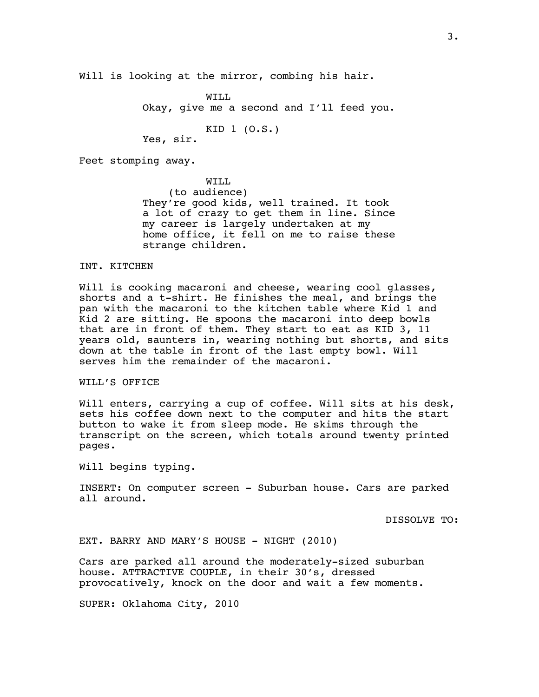Will is looking at the mirror, combing his hair.

WILL Okay, give me a second and I'll feed you.

KID 1 (O.S.) Yes, sir.

Feet stomping away.

WTT.T. (to audience) They're good kids, well trained. It took a lot of crazy to get them in line. Since my career is largely undertaken at my home office, it fell on me to raise these strange children.

INT. KITCHEN

Will is cooking macaroni and cheese, wearing cool glasses, shorts and a t-shirt. He finishes the meal, and brings the pan with the macaroni to the kitchen table where Kid 1 and Kid 2 are sitting. He spoons the macaroni into deep bowls that are in front of them. They start to eat as KID 3, 11 years old, saunters in, wearing nothing but shorts, and sits down at the table in front of the last empty bowl. Will serves him the remainder of the macaroni.

WILL'S OFFICE

Will enters, carrying a cup of coffee. Will sits at his desk, sets his coffee down next to the computer and hits the start button to wake it from sleep mode. He skims through the transcript on the screen, which totals around twenty printed pages.

Will begins typing.

INSERT: On computer screen - Suburban house. Cars are parked all around.

DISSOLVE TO:

EXT. BARRY AND MARY'S HOUSE - NIGHT (2010)

Cars are parked all around the moderately-sized suburban house. ATTRACTIVE COUPLE, in their 30's, dressed provocatively, knock on the door and wait a few moments.

SUPER: Oklahoma City, 2010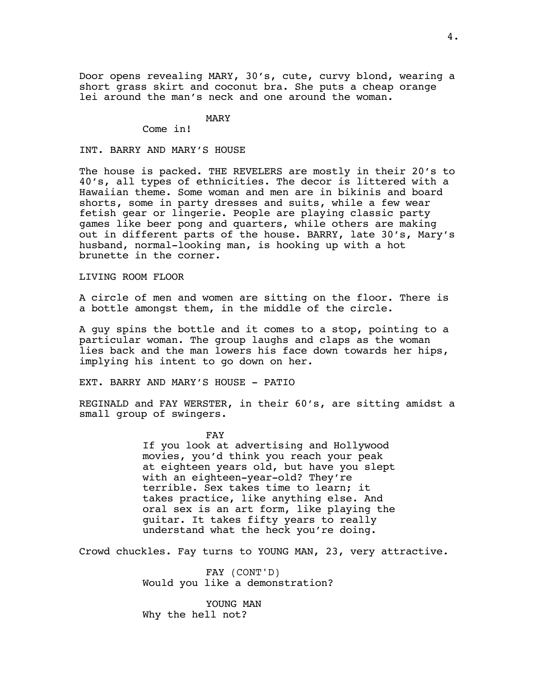Door opens revealing MARY, 30's, cute, curvy blond, wearing a short grass skirt and coconut bra. She puts a cheap orange lei around the man's neck and one around the woman.

## MARY

Come in!

## INT. BARRY AND MARY'S HOUSE

The house is packed. THE REVELERS are mostly in their 20's to 40's, all types of ethnicities. The decor is littered with a Hawaiian theme. Some woman and men are in bikinis and board shorts, some in party dresses and suits, while a few wear fetish gear or lingerie. People are playing classic party games like beer pong and quarters, while others are making out in different parts of the house. BARRY, late 30's, Mary's husband, normal-looking man, is hooking up with a hot brunette in the corner.

## LIVING ROOM FLOOR

A circle of men and women are sitting on the floor. There is a bottle amongst them, in the middle of the circle.

A guy spins the bottle and it comes to a stop, pointing to a particular woman. The group laughs and claps as the woman lies back and the man lowers his face down towards her hips, implying his intent to go down on her.

EXT. BARRY AND MARY'S HOUSE - PATIO

REGINALD and FAY WERSTER, in their 60's, are sitting amidst a small group of swingers.

FAY

If you look at advertising and Hollywood movies, you'd think you reach your peak at eighteen years old, but have you slept with an eighteen-year-old? They're terrible. Sex takes time to learn; it takes practice, like anything else. And oral sex is an art form, like playing the guitar. It takes fifty years to really understand what the heck you're doing.

Crowd chuckles. Fay turns to YOUNG MAN, 23, very attractive.

FAY (CONT'D) Would you like a demonstration?

YOUNG MAN Why the hell not?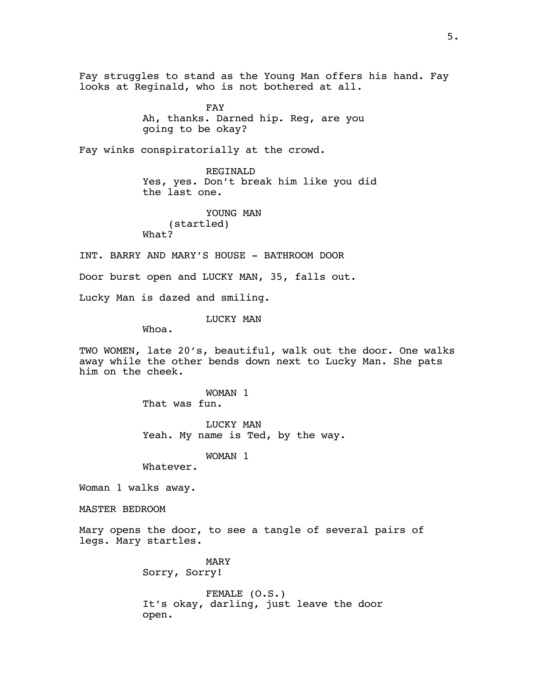Fay struggles to stand as the Young Man offers his hand. Fay looks at Reginald, who is not bothered at all.

> FAY Ah, thanks. Darned hip. Reg, are you going to be okay?

Fay winks conspiratorially at the crowd.

REGINALD Yes, yes. Don't break him like you did the last one.

YOUNG MAN (startled) What?

INT. BARRY AND MARY'S HOUSE - BATHROOM DOOR

Door burst open and LUCKY MAN, 35, falls out.

Lucky Man is dazed and smiling.

LUCKY MAN

Whoa.

TWO WOMEN, late 20's, beautiful, walk out the door. One walks away while the other bends down next to Lucky Man. She pats him on the cheek.

> WOMAN 1 That was fun.

LUCKY MAN Yeah. My name is Ted, by the way.

WOMAN 1

Whatever.

Woman 1 walks away.

MASTER BEDROOM

Mary opens the door, to see a tangle of several pairs of legs. Mary startles.

> MARY Sorry, Sorry!

FEMALE (O.S.) It's okay, darling, just leave the door open.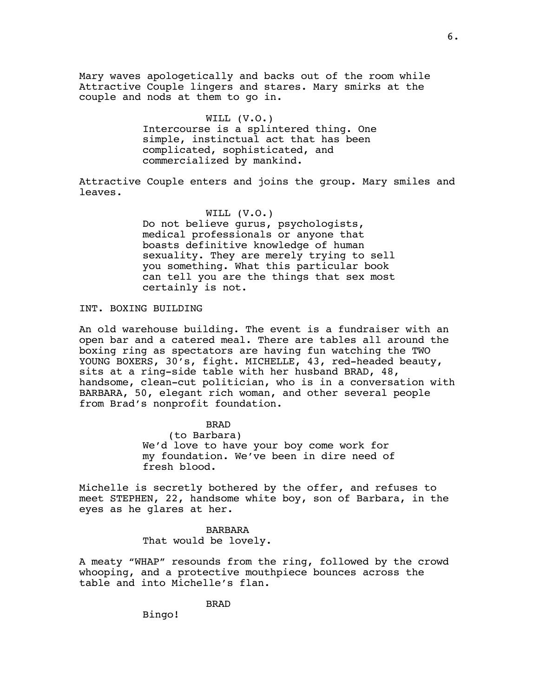Mary waves apologetically and backs out of the room while Attractive Couple lingers and stares. Mary smirks at the couple and nods at them to go in.

## WILL (V.O.)

Intercourse is a splintered thing. One simple, instinctual act that has been complicated, sophisticated, and commercialized by mankind.

Attractive Couple enters and joins the group. Mary smiles and leaves.

## WILL (V.O.)

Do not believe gurus, psychologists, medical professionals or anyone that boasts definitive knowledge of human sexuality. They are merely trying to sell you something. What this particular book can tell you are the things that sex most certainly is not.

## INT. BOXING BUILDING

An old warehouse building. The event is a fundraiser with an open bar and a catered meal. There are tables all around the boxing ring as spectators are having fun watching the TWO YOUNG BOXERS, 30's, fight. MICHELLE, 43, red-headed beauty, sits at a ring-side table with her husband BRAD, 48, handsome, clean-cut politician, who is in a conversation with BARBARA, 50, elegant rich woman, and other several people from Brad's nonprofit foundation.

BRAD

(to Barbara) We'd love to have your boy come work for my foundation. We've been in dire need of fresh blood.

Michelle is secretly bothered by the offer, and refuses to meet STEPHEN, 22, handsome white boy, son of Barbara, in the eyes as he glares at her.

## BARBARA That would be lovely.

A meaty "WHAP" resounds from the ring, followed by the crowd whooping, and a protective mouthpiece bounces across the table and into Michelle's flan.

BRAD

Bingo!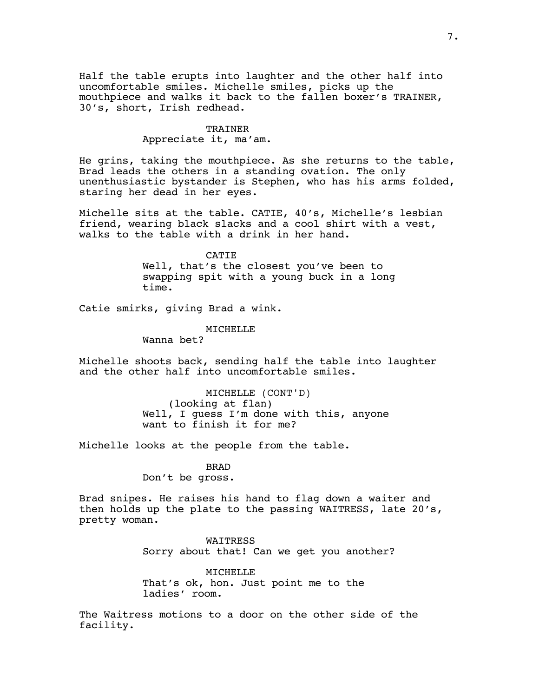Half the table erupts into laughter and the other half into uncomfortable smiles. Michelle smiles, picks up the mouthpiece and walks it back to the fallen boxer's TRAINER, 30's, short, Irish redhead.

## TRAINER

Appreciate it, ma'am.

He grins, taking the mouthpiece. As she returns to the table, Brad leads the others in a standing ovation. The only unenthusiastic bystander is Stephen, who has his arms folded, staring her dead in her eyes.

Michelle sits at the table. CATIE, 40's, Michelle's lesbian friend, wearing black slacks and a cool shirt with a vest, walks to the table with a drink in her hand.

> **CATIE** Well, that's the closest you've been to swapping spit with a young buck in a long time.

Catie smirks, giving Brad a wink.

#### MICHELLE

Wanna bet?

Michelle shoots back, sending half the table into laughter and the other half into uncomfortable smiles.

> MICHELLE (CONT'D) (looking at flan) Well, I guess I'm done with this, anyone want to finish it for me?

Michelle looks at the people from the table.

BRAD Don't be gross.

Brad snipes. He raises his hand to flag down a waiter and then holds up the plate to the passing WAITRESS, late 20's, pretty woman.

> WAITRESS Sorry about that! Can we get you another?

MICHELLE That's ok, hon. Just point me to the ladies' room.

The Waitress motions to a door on the other side of the facility.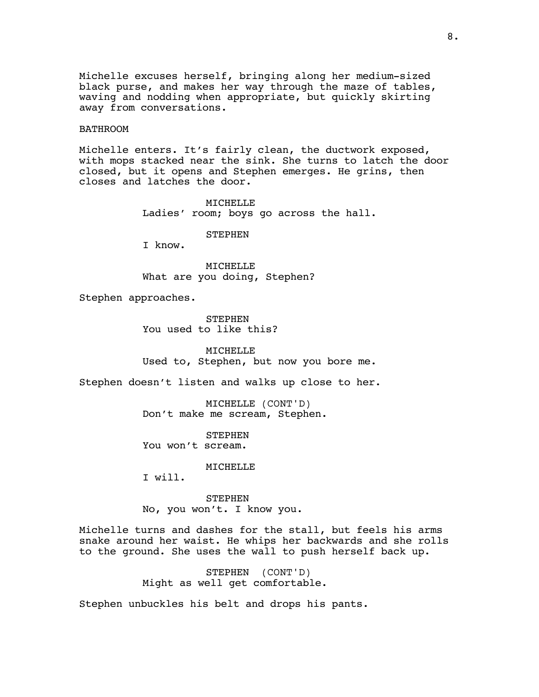Michelle excuses herself, bringing along her medium-sized black purse, and makes her way through the maze of tables, waving and nodding when appropriate, but quickly skirting away from conversations.

#### BATHROOM

Michelle enters. It's fairly clean, the ductwork exposed, with mops stacked near the sink. She turns to latch the door closed, but it opens and Stephen emerges. He grins, then closes and latches the door.

> MICHELLE Ladies' room; boys go across the hall.

## **STEPHEN**

I know.

MICHELLE What are you doing, Stephen?

Stephen approaches.

**STEPHEN** You used to like this?

MICHELLE Used to, Stephen, but now you bore me.

Stephen doesn't listen and walks up close to her.

MICHELLE (CONT'D) Don't make me scream, Stephen.

STEPHEN You won't scream.

**MTCHELLE** 

I will.

STEPHEN No, you won't. I know you.

Michelle turns and dashes for the stall, but feels his arms snake around her waist. He whips her backwards and she rolls to the ground. She uses the wall to push herself back up.

> STEPHEN (CONT'D) Might as well get comfortable.

Stephen unbuckles his belt and drops his pants.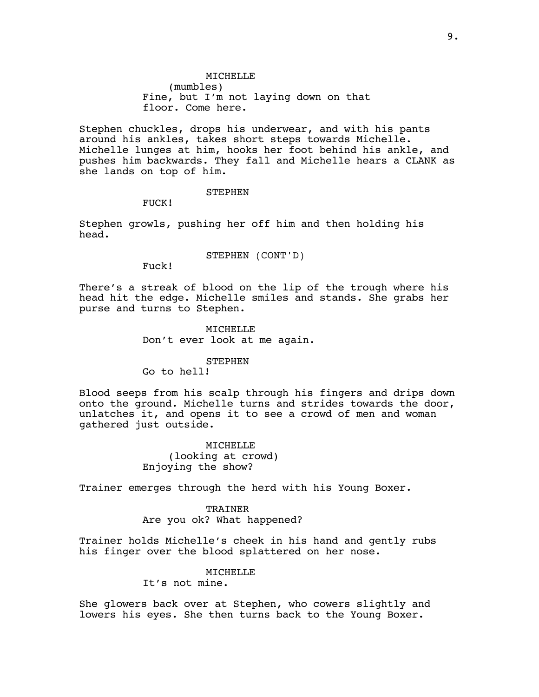## MICHELLE (mumbles) Fine, but I'm not laying down on that floor. Come here.

Stephen chuckles, drops his underwear, and with his pants around his ankles, takes short steps towards Michelle. Michelle lunges at him, hooks her foot behind his ankle, and pushes him backwards. They fall and Michelle hears a CLANK as she lands on top of him.

#### STEPHEN

FUCK!

Stephen growls, pushing her off him and then holding his head.

#### STEPHEN (CONT'D)

Fuck!

There's a streak of blood on the lip of the trough where his head hit the edge. Michelle smiles and stands. She grabs her purse and turns to Stephen.

> MICHELLE Don't ever look at me again.

#### STEPHEN

Go to hell!

Blood seeps from his scalp through his fingers and drips down onto the ground. Michelle turns and strides towards the door, unlatches it, and opens it to see a crowd of men and woman gathered just outside.

> MICHELLE (looking at crowd) Enjoying the show?

Trainer emerges through the herd with his Young Boxer.

TRAINER Are you ok? What happened?

Trainer holds Michelle's cheek in his hand and gently rubs his finger over the blood splattered on her nose.

> MICHELLE It's not mine.

She glowers back over at Stephen, who cowers slightly and lowers his eyes. She then turns back to the Young Boxer.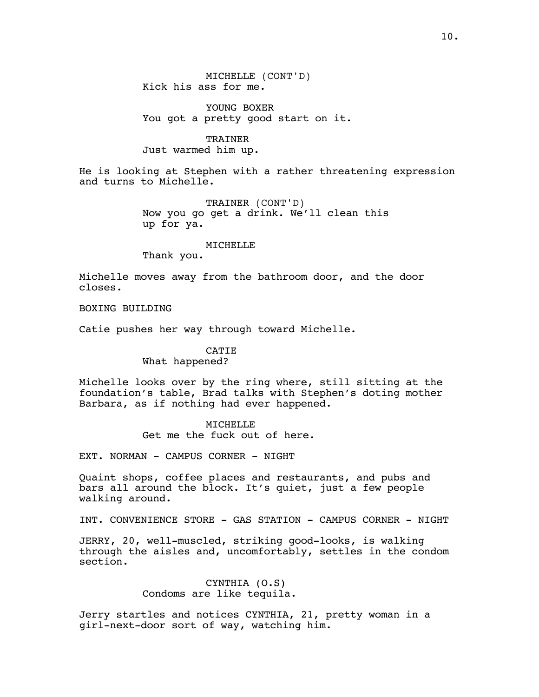MICHELLE (CONT'D) Kick his ass for me.

YOUNG BOXER You got a pretty good start on it.

TRAINER Just warmed him up.

He is looking at Stephen with a rather threatening expression and turns to Michelle.

> TRAINER (CONT'D) Now you go get a drink. We'll clean this up for ya.

> > MICHELLE

Thank you.

Michelle moves away from the bathroom door, and the door closes.

BOXING BUILDING

Catie pushes her way through toward Michelle.

**CATIE** What happened?

Michelle looks over by the ring where, still sitting at the foundation's table, Brad talks with Stephen's doting mother Barbara, as if nothing had ever happened.

> MICHELLE Get me the fuck out of here.

EXT. NORMAN - CAMPUS CORNER - NIGHT

Quaint shops, coffee places and restaurants, and pubs and bars all around the block. It's quiet, just a few people walking around.

INT. CONVENIENCE STORE - GAS STATION - CAMPUS CORNER - NIGHT

JERRY, 20, well-muscled, striking good-looks, is walking through the aisles and, uncomfortably, settles in the condom section.

## CYNTHIA (O.S) Condoms are like tequila.

Jerry startles and notices CYNTHIA, 21, pretty woman in a girl-next-door sort of way, watching him.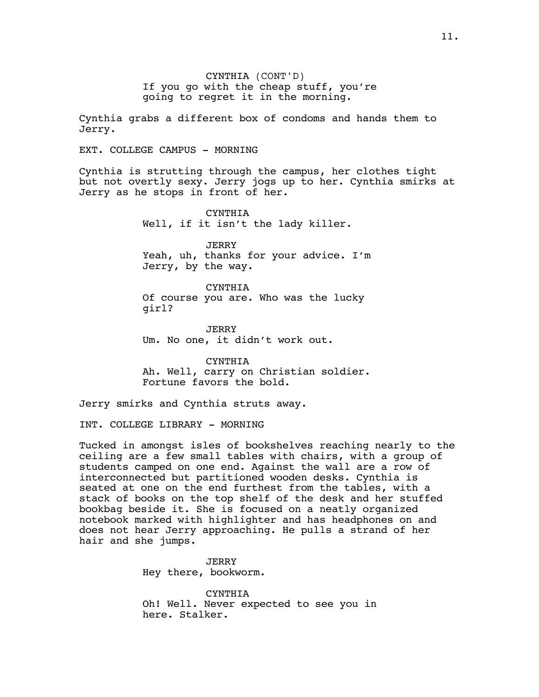CYNTHIA (CONT'D) If you go with the cheap stuff, you're going to regret it in the morning.

Cynthia grabs a different box of condoms and hands them to Jerry.

EXT. COLLEGE CAMPUS - MORNING

Cynthia is strutting through the campus, her clothes tight but not overtly sexy. Jerry jogs up to her. Cynthia smirks at Jerry as he stops in front of her.

> CYNTHIA Well, if it isn't the lady killer.

JERRY Yeah, uh, thanks for your advice. I'm Jerry, by the way.

CYNTHIA

Of course you are. Who was the lucky girl?

**JERRY** Um. No one, it didn't work out.

CYNTHIA Ah. Well, carry on Christian soldier. Fortune favors the bold.

Jerry smirks and Cynthia struts away.

INT. COLLEGE LIBRARY - MORNING

Tucked in amongst isles of bookshelves reaching nearly to the ceiling are a few small tables with chairs, with a group of students camped on one end. Against the wall are a row of interconnected but partitioned wooden desks. Cynthia is seated at one on the end furthest from the tables, with a stack of books on the top shelf of the desk and her stuffed bookbag beside it. She is focused on a neatly organized notebook marked with highlighter and has headphones on and does not hear Jerry approaching. He pulls a strand of her hair and she jumps.

> JERRY Hey there, bookworm.

CYNTHIA Oh! Well. Never expected to see you in here. Stalker.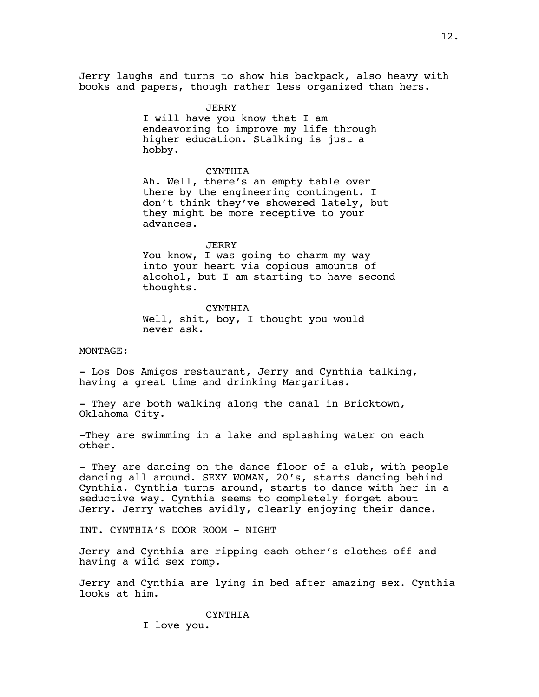Jerry laughs and turns to show his backpack, also heavy with books and papers, though rather less organized than hers.

> **JERRY** I will have you know that I am endeavoring to improve my life through higher education. Stalking is just a hobby.

CYNTHIA Ah. Well, there's an empty table over there by the engineering contingent. I don't think they've showered lately, but they might be more receptive to your advances.

#### **JERRY**

You know, I was going to charm my way into your heart via copious amounts of alcohol, but I am starting to have second thoughts.

CYNTHIA Well, shit, boy, I thought you would never ask.

## MONTAGE:

- Los Dos Amigos restaurant, Jerry and Cynthia talking, having a great time and drinking Margaritas.

- They are both walking along the canal in Bricktown, Oklahoma City.

-They are swimming in a lake and splashing water on each other.

- They are dancing on the dance floor of a club, with people dancing all around. SEXY WOMAN, 20's, starts dancing behind Cynthia. Cynthia turns around, starts to dance with her in a seductive way. Cynthia seems to completely forget about Jerry. Jerry watches avidly, clearly enjoying their dance.

INT. CYNTHIA'S DOOR ROOM - NIGHT

Jerry and Cynthia are ripping each other's clothes off and having a wild sex romp.

Jerry and Cynthia are lying in bed after amazing sex. Cynthia looks at him.

CYNTHIA

I love you.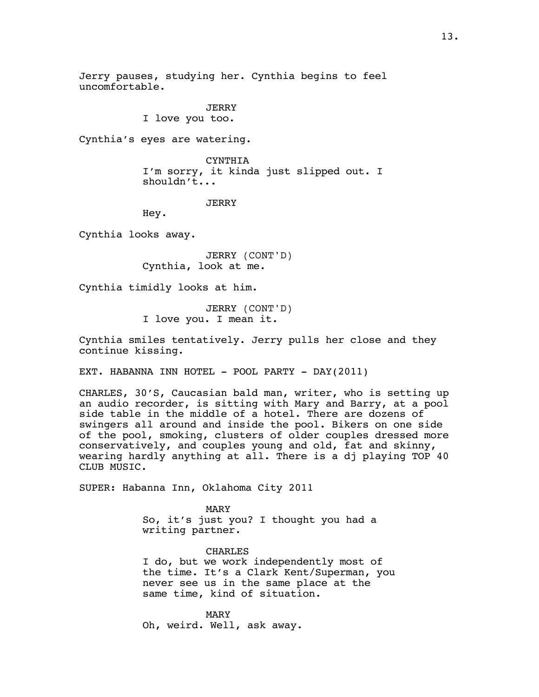Jerry pauses, studying her. Cynthia begins to feel uncomfortable.

> JERRY I love you too.

Cynthia's eyes are watering.

CYNTHIA I'm sorry, it kinda just slipped out. I shouldn't...

## **JERRY**

Hey.

Cynthia looks away.

JERRY (CONT'D) Cynthia, look at me.

Cynthia timidly looks at him.

JERRY (CONT'D) I love you. I mean it.

Cynthia smiles tentatively. Jerry pulls her close and they continue kissing.

EXT. HABANNA INN HOTEL - POOL PARTY - DAY(2011)

CHARLES, 30'S, Caucasian bald man, writer, who is setting up an audio recorder, is sitting with Mary and Barry, at a pool side table in the middle of a hotel. There are dozens of swingers all around and inside the pool. Bikers on one side of the pool, smoking, clusters of older couples dressed more conservatively, and couples young and old, fat and skinny, wearing hardly anything at all. There is a dj playing TOP 40 CLUB MUSIC.

SUPER: Habanna Inn, Oklahoma City 2011

MARY So, it's just you? I thought you had a writing partner.

CHARLES I do, but we work independently most of the time. It's a Clark Kent/Superman, you never see us in the same place at the same time, kind of situation.

MARY Oh, weird. Well, ask away.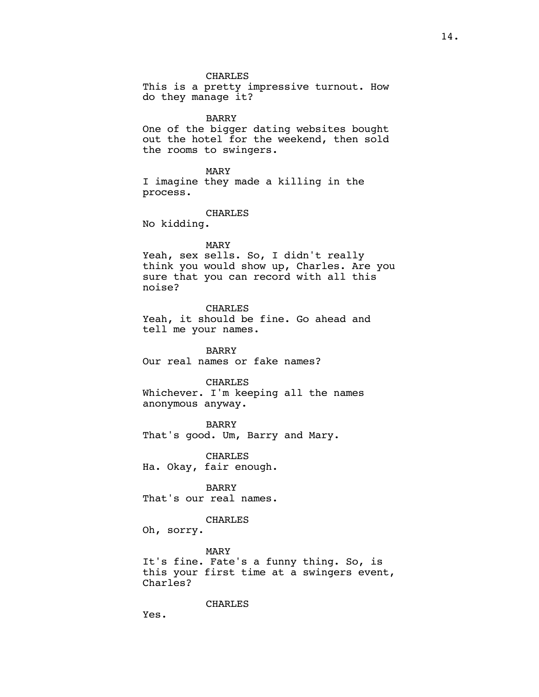CHARLES This is a pretty impressive turnout. How do they manage it? BARRY One of the bigger dating websites bought out the hotel for the weekend, then sold the rooms to swingers. MARY I imagine they made a killing in the process. CHARLES No kidding. MARY Yeah, sex sells. So, I didn't really think you would show up, Charles. Are you sure that you can record with all this noise? CHARLES Yeah, it should be fine. Go ahead and tell me your names. BARRY Our real names or fake names? CHARLES Whichever. I'm keeping all the names anonymous anyway.

BARRY That's good. Um, Barry and Mary.

CHARLES Ha. Okay, fair enough.

BARRY That's our real names.

## CHARLES

Oh, sorry.

MARY

It's fine. Fate's a funny thing. So, is this your first time at a swingers event, Charles?

#### CHARLES

Yes.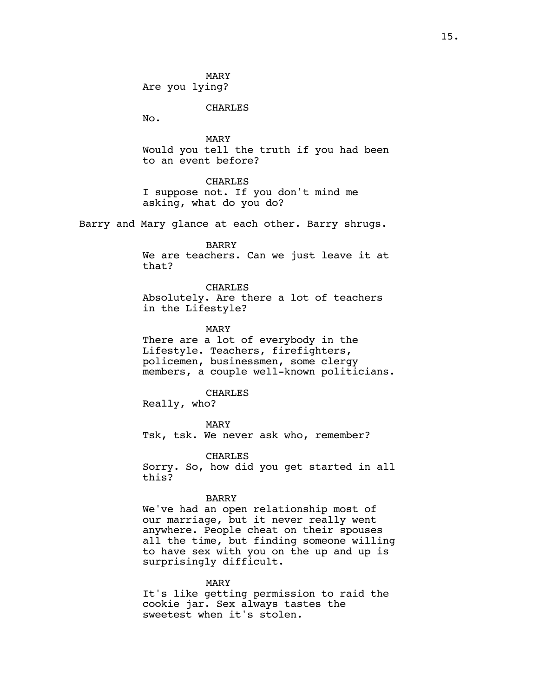MARY Are you lying?

CHARLES

No.

MARY Would you tell the truth if you had been to an event before?

CHARLES

I suppose not. If you don't mind me asking, what do you do?

Barry and Mary glance at each other. Barry shrugs.

BARRY

We are teachers. Can we just leave it at that?

CHARLES Absolutely. Are there a lot of teachers in the Lifestyle?

MARY There are a lot of everybody in the Lifestyle. Teachers, firefighters, policemen, businessmen, some clergy members, a couple well-known politicians.

CHARLES Really, who?

MARY Tsk, tsk. We never ask who, remember?

CHARLES Sorry. So, how did you get started in all this?

## BARRY

We've had an open relationship most of our marriage, but it never really went anywhere. People cheat on their spouses all the time, but finding someone willing to have sex with you on the up and up is surprisingly difficult.

MARY

It's like getting permission to raid the cookie jar. Sex always tastes the sweetest when it's stolen.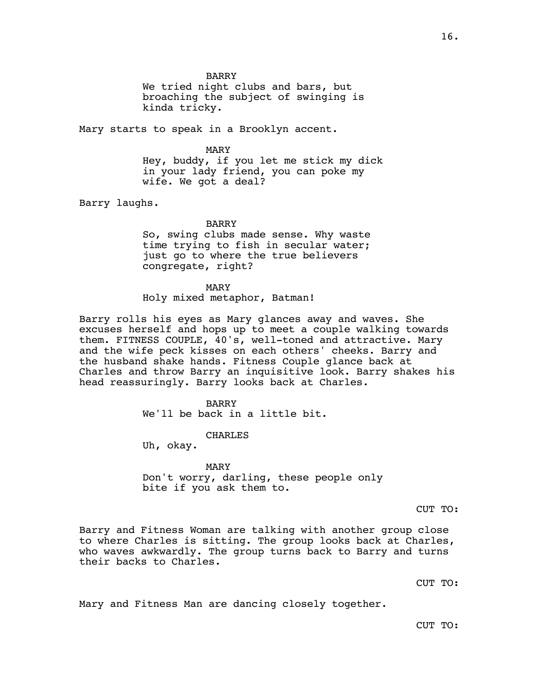BARRY

We tried night clubs and bars, but broaching the subject of swinging is kinda tricky.

Mary starts to speak in a Brooklyn accent.

## MARY

Hey, buddy, if you let me stick my dick in your lady friend, you can poke my wife. We got a deal?

Barry laughs.

#### BARRY

So, swing clubs made sense. Why waste time trying to fish in secular water; just go to where the true believers congregate, right?

MARY

Holy mixed metaphor, Batman!

Barry rolls his eyes as Mary glances away and waves. She excuses herself and hops up to meet a couple walking towards them. FITNESS COUPLE, 40's, well-toned and attractive. Mary and the wife peck kisses on each others' cheeks. Barry and the husband shake hands. Fitness Couple glance back at Charles and throw Barry an inquisitive look. Barry shakes his head reassuringly. Barry looks back at Charles.

> **BARRY** We'll be back in a little bit.

> > CHARLES

Uh, okay.

MARY Don't worry, darling, these people only bite if you ask them to.

CUT TO:

Barry and Fitness Woman are talking with another group close to where Charles is sitting. The group looks back at Charles, who waves awkwardly. The group turns back to Barry and turns their backs to Charles.

CUT TO:

Mary and Fitness Man are dancing closely together.

CUT TO: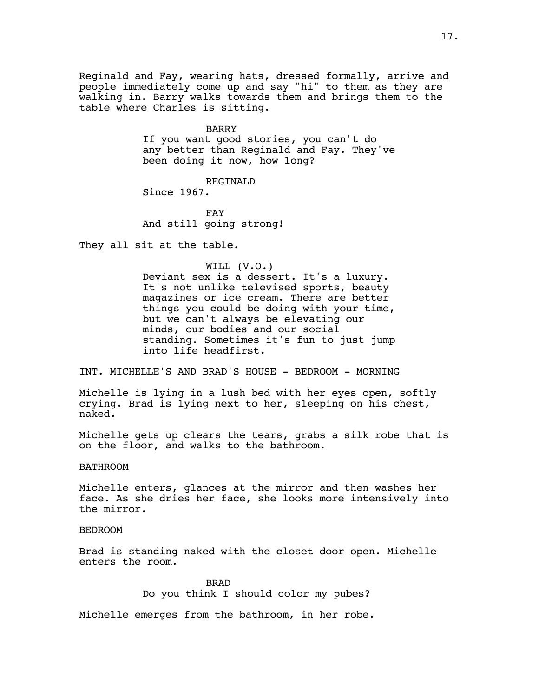Reginald and Fay, wearing hats, dressed formally, arrive and people immediately come up and say "hi" to them as they are walking in. Barry walks towards them and brings them to the table where Charles is sitting.

#### BARRY

If you want good stories, you can't do any better than Reginald and Fay. They've been doing it now, how long?

## REGINALD

Since 1967.

FAY And still going strong!

They all sit at the table.

## WILL (V.O.)

Deviant sex is a dessert. It's a luxury. It's not unlike televised sports, beauty magazines or ice cream. There are better things you could be doing with your time, but we can't always be elevating our minds, our bodies and our social standing. Sometimes it's fun to just jump into life headfirst.

INT. MICHELLE'S AND BRAD'S HOUSE - BEDROOM - MORNING

Michelle is lying in a lush bed with her eyes open, softly crying. Brad is lying next to her, sleeping on his chest, naked.

Michelle gets up clears the tears, grabs a silk robe that is on the floor, and walks to the bathroom.

#### BATHROOM

Michelle enters, glances at the mirror and then washes her face. As she dries her face, she looks more intensively into the mirror.

## BEDROOM

Brad is standing naked with the closet door open. Michelle enters the room.

> BRAD Do you think I should color my pubes?

Michelle emerges from the bathroom, in her robe.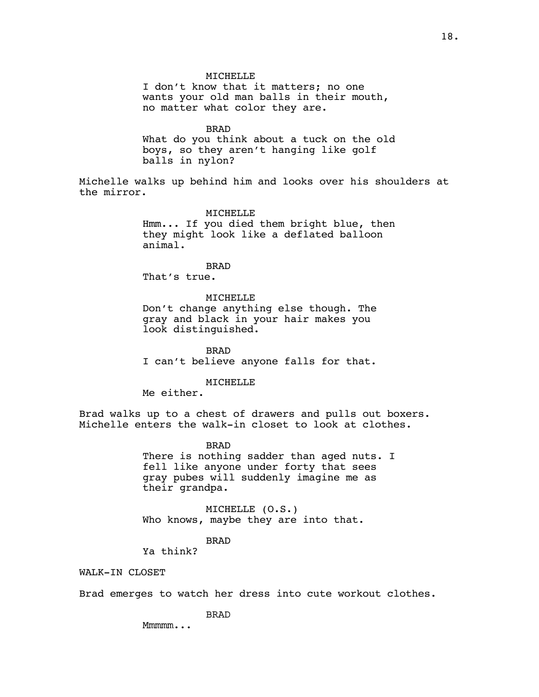I don't know that it matters; no one wants your old man balls in their mouth, no matter what color they are.

BRAD

What do you think about a tuck on the old boys, so they aren't hanging like golf balls in nylon?

Michelle walks up behind him and looks over his shoulders at the mirror.

#### MICHELLE

Hmm... If you died them bright blue, then they might look like a deflated balloon animal.

BRAD

That's true.

MICHELLE Don't change anything else though. The gray and black in your hair makes you look distinguished.

BRAD I can't believe anyone falls for that.

#### MICHELLE

Me either.

Brad walks up to a chest of drawers and pulls out boxers. Michelle enters the walk-in closet to look at clothes.

BRAD

There is nothing sadder than aged nuts. I fell like anyone under forty that sees gray pubes will suddenly imagine me as their grandpa.

MICHELLE (O.S.) Who knows, maybe they are into that.

#### BRAD

Ya think?

WALK-IN CLOSET

Brad emerges to watch her dress into cute workout clothes.

BRAD

Mmmmm...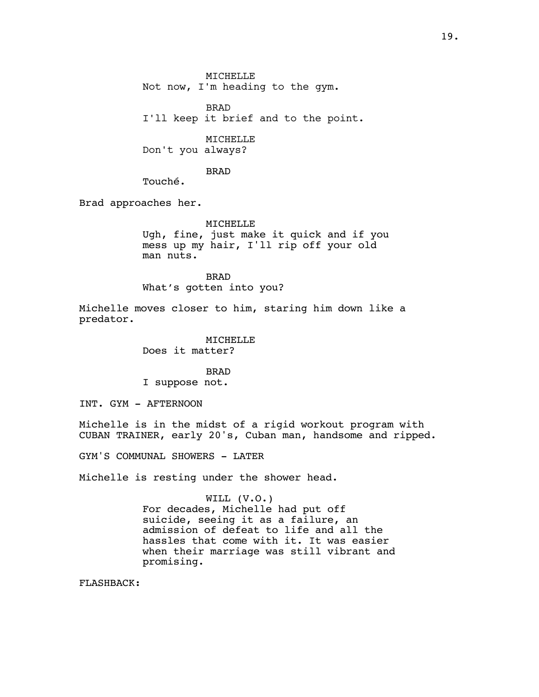MICHELLE Not now, I'm heading to the gym. BRAD

I'll keep it brief and to the point.

MICHELLE

Don't you always?

BRAD

Touché.

Brad approaches her.

MICHELLE Ugh, fine, just make it quick and if you mess up my hair, I'll rip off your old man nuts.

BRAD What's gotten into you?

Michelle moves closer to him, staring him down like a predator.

> MICHELLE Does it matter?

BRAD I suppose not.

INT. GYM - AFTERNOON

Michelle is in the midst of a rigid workout program with CUBAN TRAINER, early 20's, Cuban man, handsome and ripped.

GYM'S COMMUNAL SHOWERS - LATER

Michelle is resting under the shower head.

#### WILL (V.O.)

For decades, Michelle had put off suicide, seeing it as a failure, an admission of defeat to life and all the hassles that come with it. It was easier when their marriage was still vibrant and promising.

FLASHBACK: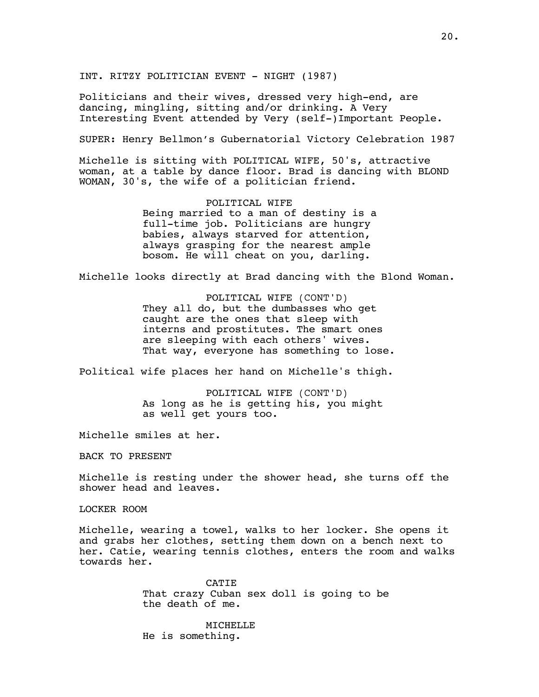INT. RITZY POLITICIAN EVENT - NIGHT (1987)

Politicians and their wives, dressed very high-end, are dancing, mingling, sitting and/or drinking. A Very Interesting Event attended by Very (self-)Important People.

SUPER: Henry Bellmon's Gubernatorial Victory Celebration 1987

Michelle is sitting with POLITICAL WIFE, 50's, attractive woman, at a table by dance floor. Brad is dancing with BLOND WOMAN, 30's, the wife of a politician friend.

> POLITICAL WIFE Being married to a man of destiny is a full-time job. Politicians are hungry babies, always starved for attention, always grasping for the nearest ample bosom. He will cheat on you, darling.

Michelle looks directly at Brad dancing with the Blond Woman.

POLITICAL WIFE (CONT'D) They all do, but the dumbasses who get caught are the ones that sleep with interns and prostitutes. The smart ones are sleeping with each others' wives. That way, everyone has something to lose.

Political wife places her hand on Michelle's thigh.

POLITICAL WIFE (CONT'D) As long as he is getting his, you might as well get yours too.

Michelle smiles at her.

BACK TO PRESENT

Michelle is resting under the shower head, she turns off the shower head and leaves.

LOCKER ROOM

Michelle, wearing a towel, walks to her locker. She opens it and grabs her clothes, setting them down on a bench next to her. Catie, wearing tennis clothes, enters the room and walks towards her.

> **CATTE** That crazy Cuban sex doll is going to be the death of me.

MICHELLE He is something.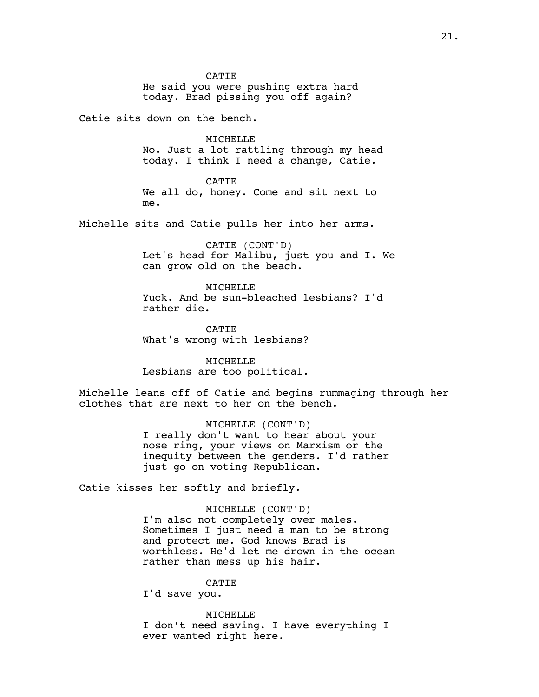CATIE He said you were pushing extra hard today. Brad pissing you off again?

Catie sits down on the bench.

MICHELLE

No. Just a lot rattling through my head today. I think I need a change, Catie.

CATIE

We all do, honey. Come and sit next to me.

Michelle sits and Catie pulls her into her arms.

CATIE (CONT'D) Let's head for Malibu, just you and I. We can grow old on the beach.

MICHELLE Yuck. And be sun-bleached lesbians? I'd rather die.

CATIE What's wrong with lesbians?

MICHELLE Lesbians are too political.

Michelle leans off of Catie and begins rummaging through her clothes that are next to her on the bench.

> MICHELLE (CONT'D) I really don't want to hear about your nose ring, your views on Marxism or the inequity between the genders. I'd rather just go on voting Republican.

Catie kisses her softly and briefly.

MICHELLE (CONT'D) I'm also not completely over males. Sometimes I just need a man to be strong and protect me. God knows Brad is worthless. He'd let me drown in the ocean rather than mess up his hair.

CATIE

I'd save you.

MICHELLE I don't need saving. I have everything I ever wanted right here.